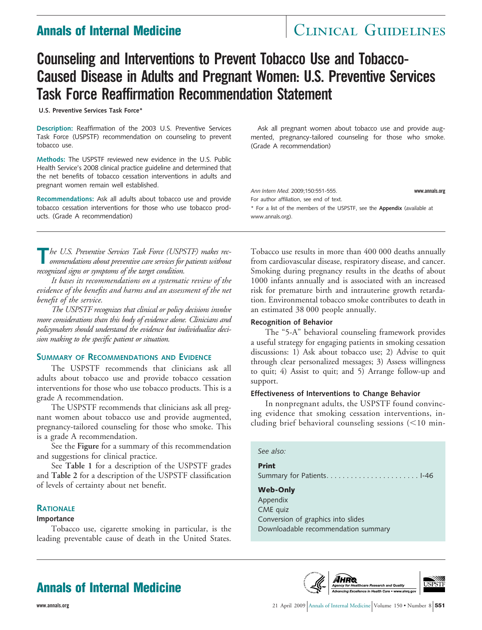# **Annals of Internal Medicine CLINICAL GUIDELINES**

# **Counseling and Interventions to Prevent Tobacco Use and Tobacco-Caused Disease in Adults and Pregnant Women: U.S. Preventive Services Task Force Reaffirmation Recommendation Statement**

**U.S. Preventive Services Task Force\***

**Description:** Reaffirmation of the 2003 U.S. Preventive Services Task Force (USPSTF) recommendation on counseling to prevent tobacco use.

**Methods:** The USPSTF reviewed new evidence in the U.S. Public Health Service's 2008 clinical practice guideline and determined that the net benefits of tobacco cessation interventions in adults and pregnant women remain well established.

**Recommendations:** Ask all adults about tobacco use and provide tobacco cessation interventions for those who use tobacco products. (Grade A recommendation)

Ask all pregnant women about tobacco use and provide augmented, pregnancy-tailored counseling for those who smoke. (Grade A recommendation)

*Ann Intern Med.* 2009;150:551-555. **www.annals.org** For author affiliation, see end of text. \* For a list of the members of the USPSTF, see the **Appendix** (available at www.annals.org).

**T***he U.S. Preventive Services Task Force (USPSTF) makes rec-ommendations about preventive care services for patients without recognized signs or symptoms of the target condition.*

*It bases its recommendations on a systematic review of the evidence of the benefits and harms and an assessment of the net benefit of the service.*

*The USPSTF recognizes that clinical or policy decisions involve more considerations than this body of evidence alone. Clinicians and policymakers should understand the evidence but individualize decision making to the specific patient or situation.*

#### **SUMMARY OF RECOMMENDATIONS AND EVIDENCE**

The USPSTF recommends that clinicians ask all adults about tobacco use and provide tobacco cessation interventions for those who use tobacco products. This is a grade A recommendation.

The USPSTF recommends that clinicians ask all pregnant women about tobacco use and provide augmented, pregnancy-tailored counseling for those who smoke. This is a grade A recommendation.

See the **Figure** for a summary of this recommendation and suggestions for clinical practice.

See **Table 1** for a description of the USPSTF grades and **Table 2** for a description of the USPSTF classification of levels of certainty about net benefit.

#### **RATIONALE**

#### **Importance**

Tobacco use, cigarette smoking in particular, is the leading preventable cause of death in the United States.

Tobacco use results in more than 400 000 deaths annually from cardiovascular disease, respiratory disease, and cancer. Smoking during pregnancy results in the deaths of about 1000 infants annually and is associated with an increased risk for premature birth and intrauterine growth retardation. Environmental tobacco smoke contributes to death in an estimated 38 000 people annually.

#### **Recognition of Behavior**

The "5-A" behavioral counseling framework provides a useful strategy for engaging patients in smoking cessation discussions: 1) Ask about tobacco use; 2) Advise to quit through clear personalized messages; 3) Assess willingness to quit; 4) Assist to quit; and 5) Arrange follow-up and support.

#### **Effectiveness of Interventions to Change Behavior**

In nonpregnant adults, the USPSTF found convincing evidence that smoking cessation interventions, including brief behavioral counseling sessions  $(< 10$  min-

*See also:* **Print** Summary for Patients...............................1-46 **Web-Only** Appendix CME quiz Conversion of graphics into slides

Downloadable recommendation summary



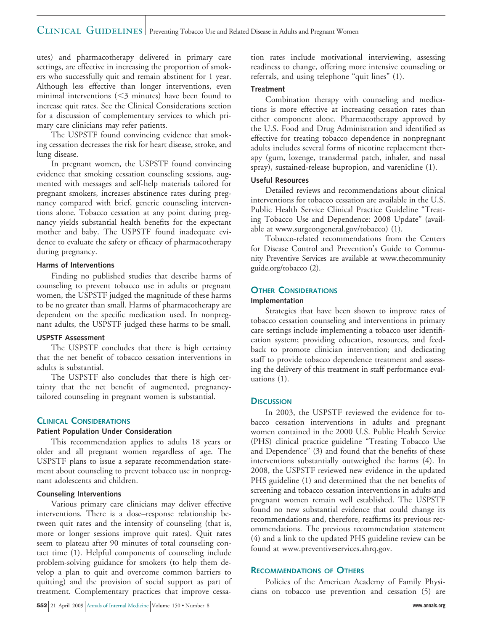#### CLINICAL GUIDELINES | Preventing Tobacco Use and Related Disease in Adults and Pregnant Women

utes) and pharmacotherapy delivered in primary care settings, are effective in increasing the proportion of smokers who successfully quit and remain abstinent for 1 year. Although less effective than longer interventions, even minimal interventions  $(<$ 3 minutes) have been found to increase quit rates. See the Clinical Considerations section for a discussion of complementary services to which primary care clinicians may refer patients.

The USPSTF found convincing evidence that smoking cessation decreases the risk for heart disease, stroke, and lung disease.

In pregnant women, the USPSTF found convincing evidence that smoking cessation counseling sessions, augmented with messages and self-help materials tailored for pregnant smokers, increases abstinence rates during pregnancy compared with brief, generic counseling interventions alone. Tobacco cessation at any point during pregnancy yields substantial health benefits for the expectant mother and baby. The USPSTF found inadequate evidence to evaluate the safety or efficacy of pharmacotherapy during pregnancy.

#### **Harms of Interventions**

Finding no published studies that describe harms of counseling to prevent tobacco use in adults or pregnant women, the USPSTF judged the magnitude of these harms to be no greater than small. Harms of pharmacotherapy are dependent on the specific medication used. In nonpregnant adults, the USPSTF judged these harms to be small.

#### **USPSTF Assessment**

The USPSTF concludes that there is high certainty that the net benefit of tobacco cessation interventions in adults is substantial.

The USPSTF also concludes that there is high certainty that the net benefit of augmented, pregnancytailored counseling in pregnant women is substantial.

#### **CLINICAL CONSIDERATIONS**

#### **Patient Population Under Consideration**

This recommendation applies to adults 18 years or older and all pregnant women regardless of age. The USPSTF plans to issue a separate recommendation statement about counseling to prevent tobacco use in nonpregnant adolescents and children.

#### **Counseling Interventions**

Various primary care clinicians may deliver effective interventions. There is a dose–response relationship between quit rates and the intensity of counseling (that is, more or longer sessions improve quit rates). Quit rates seem to plateau after 90 minutes of total counseling contact time (1). Helpful components of counseling include problem-solving guidance for smokers (to help them develop a plan to quit and overcome common barriers to quitting) and the provision of social support as part of treatment. Complementary practices that improve cessation rates include motivational interviewing, assessing readiness to change, offering more intensive counseling or referrals, and using telephone "quit lines" (1).

#### **Treatment**

Combination therapy with counseling and medications is more effective at increasing cessation rates than either component alone. Pharmacotherapy approved by the U.S. Food and Drug Administration and identified as effective for treating tobacco dependence in nonpregnant adults includes several forms of nicotine replacement therapy (gum, lozenge, transdermal patch, inhaler, and nasal spray), sustained-release bupropion, and varenicline (1).

#### **Useful Resources**

Detailed reviews and recommendations about clinical interventions for tobacco cessation are available in the U.S. Public Health Service Clinical Practice Guideline "Treating Tobacco Use and Dependence: 2008 Update" (available at www.surgeongeneral.gov/tobacco) (1).

Tobacco-related recommendations from the Centers for Disease Control and Prevention's Guide to Community Preventive Services are available at www.thecommunity guide.org/tobacco (2).

#### **OTHER CONSIDERATIONS**

#### **Implementation**

Strategies that have been shown to improve rates of tobacco cessation counseling and interventions in primary care settings include implementing a tobacco user identification system; providing education, resources, and feedback to promote clinician intervention; and dedicating staff to provide tobacco dependence treatment and assessing the delivery of this treatment in staff performance evaluations (1).

#### **DISCUSSION**

In 2003, the USPSTF reviewed the evidence for tobacco cessation interventions in adults and pregnant women contained in the 2000 U.S. Public Health Service (PHS) clinical practice guideline "Treating Tobacco Use and Dependence" (3) and found that the benefits of these interventions substantially outweighed the harms (4). In 2008, the USPSTF reviewed new evidence in the updated PHS guideline (1) and determined that the net benefits of screening and tobacco cessation interventions in adults and pregnant women remain well established. The USPSTF found no new substantial evidence that could change its recommendations and, therefore, reaffirms its previous recommendations. The previous recommendation statement (4) and a link to the updated PHS guideline review can be found at www.preventiveservices.ahrq.gov.

#### **RECOMMENDATIONS OF OTHERS**

Policies of the American Academy of Family Physicians on tobacco use prevention and cessation (5) are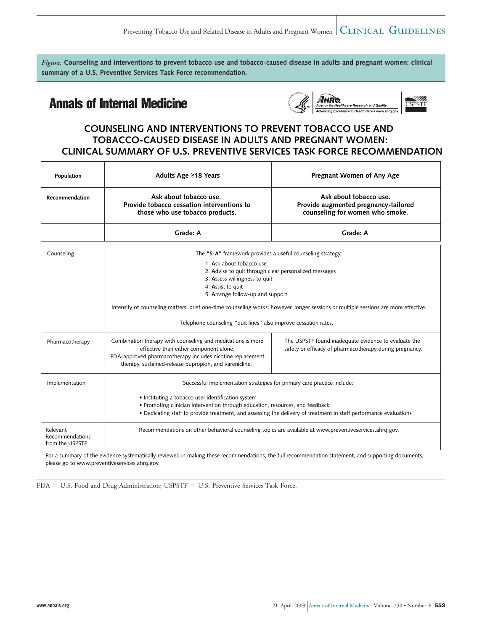Preventing Tobacco Use and Related Disease in Adults and Pregnant Women  $\vert$  CLINICAL GUIDELINES

Figure. Counseling and interventions to prevent tobacco use and tobacco-caused disease in adults and pregnant women: clinical **summary of a U.S. Preventive Services Task Force recommendation.**

### **Annals of Internal Medicine**



### **COUNSELING AND INTERVENTIONS TO PREVENT TOBACCO USE AND TOBACCO-CAUSED DISEASE IN ADULTS AND PREGNANT WOMEN: CLINICAL SUMMARY OF U.S. PREVENTIVE SERVICES TASK FORCE RECOMMENDATION**

| Population                                     | Adults Age ≥18 Years                                                                                                                                                                                                                                                                                                                                                                                                                                | Pregnant Women of Any Age                                                                                       |
|------------------------------------------------|-----------------------------------------------------------------------------------------------------------------------------------------------------------------------------------------------------------------------------------------------------------------------------------------------------------------------------------------------------------------------------------------------------------------------------------------------------|-----------------------------------------------------------------------------------------------------------------|
| Recommendation                                 | Ask about tobacco use.<br>Provide tobacco cessation interventions to<br>those who use tobacco products.                                                                                                                                                                                                                                                                                                                                             | Ask about tobacco use.<br>Provide augmented pregnancy-tailored<br>counseling for women who smoke.               |
|                                                | Grade: A                                                                                                                                                                                                                                                                                                                                                                                                                                            | Grade: A                                                                                                        |
| Counseling                                     | The "5-A" framework provides a useful counseling strategy:<br>1. Ask about tobacco use<br>2. Advise to quit through clear personalized messages<br>3. Assess willingness to quit<br>4. Assist to quit<br>5. Arrange follow-up and support<br>Intensity of counseling matters: brief one-time counseling works; however, longer sessions or multiple sessions are more effective.<br>Telephone counseling "quit lines" also improve cessation rates. |                                                                                                                 |
| Pharmacotherapy                                | Combination therapy with counseling and medications is more<br>effective than either component alone.<br>FDA-approved pharmacotherapy includes nicotine replacement<br>therapy, sustained-release bupropion, and varenicline.                                                                                                                                                                                                                       | The USPSTF found inadequate evidence to evaluate the<br>safety or efficacy of pharmacotherapy during pregnancy. |
| Implementation                                 | Successful implementation strategies for primary care practice include:<br>• Instituting a tobacco user identification system<br>• Promoting clinician intervention through education, resources, and feedback<br>• Dedicating staff to provide treatment, and assessing the delivery of treatment in staff performance evaluations                                                                                                                 |                                                                                                                 |
| Relevant<br>Recommendations<br>from the USPSTF | Recommendations on other behavioral counseling topics are available at www.preventiveservices.ahrq.gov.                                                                                                                                                                                                                                                                                                                                             |                                                                                                                 |

For a summary of the evidence systematically reviewed in making these recommendations, the full recommendation statement, and supporting documents, please go to www.preventiveservices.ahrq.gov.

FDA = U.S. Food and Drug Administration; USPSTF = U.S. Preventive Services Task Force.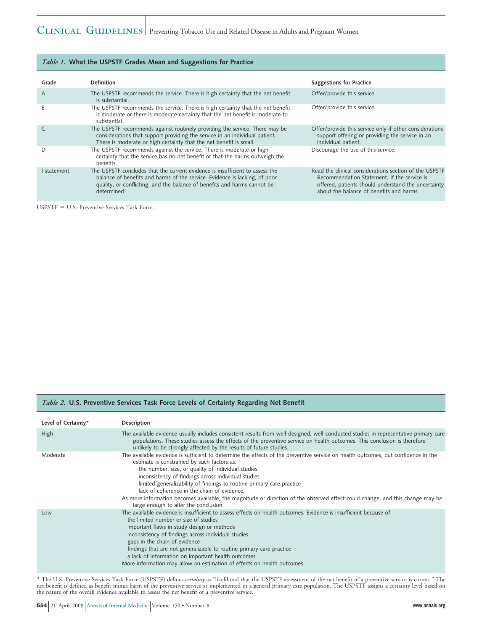#### *Table 1.* **What the USPSTF Grades Mean and Suggestions for Practice**

| Grade       | <b>Definition</b>                                                                                                                                                                                                                                     | <b>Suggestions for Practice</b>                                                                                                                                                                          |
|-------------|-------------------------------------------------------------------------------------------------------------------------------------------------------------------------------------------------------------------------------------------------------|----------------------------------------------------------------------------------------------------------------------------------------------------------------------------------------------------------|
| A           | The USPSTF recommends the service. There is high certainty that the net benefit<br>is substantial.                                                                                                                                                    | Offer/provide this service.                                                                                                                                                                              |
| R           | The USPSTF recommends the service. There is high certainty that the net benefit<br>is moderate or there is moderate certainty that the net benefit is moderate to<br>substantial.                                                                     | Offer/provide this service.                                                                                                                                                                              |
|             | The USPSTF recommends against routinely providing the service. There may be<br>considerations that support providing the service in an individual patient.<br>There is moderate or high certainty that the net benefit is small.                      | Offer/provide this service only if other considerations<br>support offering or providing the service in an<br>individual patient.                                                                        |
|             | The USPSTF recommends against the service. There is moderate or high<br>certainty that the service has no net benefit or that the harms outweigh the<br>benefits.                                                                                     | Discourage the use of this service.                                                                                                                                                                      |
| I statement | The USPSTE concludes that the current evidence is insufficient to assess the<br>balance of benefits and harms of the service. Evidence is lacking, of poor<br>quality, or conflicting, and the balance of benefits and harms cannot be<br>determined. | Read the clinical considerations section of the USPSTF<br>Recommendation Statement. If the service is<br>offered, patients should understand the uncertainty<br>about the balance of benefits and harms. |

USPSTF = U.S. Preventive Services Task Force.

#### *Table 2.* **U.S. Preventive Services Task Force Levels of Certainty Regarding Net Benefit**

| Level of Certainty* | Description                                                                                                                                                                                                                                                                                                                                                                                                                                                                                                                                                                                     |
|---------------------|-------------------------------------------------------------------------------------------------------------------------------------------------------------------------------------------------------------------------------------------------------------------------------------------------------------------------------------------------------------------------------------------------------------------------------------------------------------------------------------------------------------------------------------------------------------------------------------------------|
| High                | The available evidence usually includes consistent results from well-designed, well-conducted studies in representative primary care<br>populations. These studies assess the effects of the preventive service on health outcomes. This conclusion is therefore<br>unlikely to be strongly affected by the results of future studies.                                                                                                                                                                                                                                                          |
| Moderate            | The available evidence is sufficient to determine the effects of the preventive service on health outcomes, but confidence in the<br>estimate is constrained by such factors as:<br>the number, size, or quality of individual studies<br>inconsistency of findings across individual studies<br>limited generalizability of findings to routine primary care practice<br>lack of coherence in the chain of evidence.<br>As more information becomes available, the magnitude or direction of the observed effect could change, and this change may be<br>large enough to alter the conclusion. |
| Low                 | The available evidence is insufficient to assess effects on health outcomes. Evidence is insufficient because of:<br>the limited number or size of studies<br>important flaws in study design or methods<br>inconsistency of findings across individual studies<br>gaps in the chain of evidence<br>findings that are not generalizable to routine primary care practice<br>a lack of information on important health outcomes.<br>More information may allow an estimation of effects on health outcomes.                                                                                      |

\* The U.S. Preventive Services Task Force (USPSTF) defines *certainty* as "likelihood that the USPSTF assessment of the net benefit of a preventive service is correct." The net benefit is defined as benefit minus harm of the preventive service as implemented in a general primary care population. The USPSTF assigns a certainty level based on the nature of the overall evidence available to assess the net benefit of a preventive service.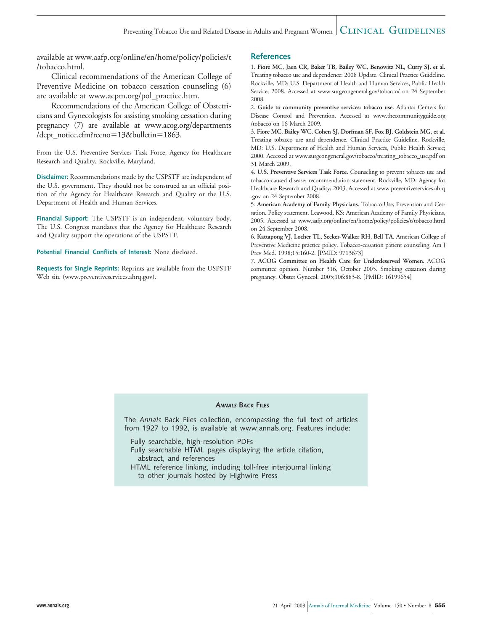available at www.aafp.org/online/en/home/policy/policies/t /tobacco.html.

Clinical recommendations of the American College of Preventive Medicine on tobacco cessation counseling (6) are available at www.acpm.org/pol\_practice.htm.

Recommendations of the American College of Obstetricians and Gynecologists for assisting smoking cessation during pregnancy (7) are available at www.acog.org/departments /dept\_notice.cfm?recno=13&bulletin=1863.

From the U.S. Preventive Services Task Force, Agency for Healthcare Research and Quality, Rockville, Maryland.

**Disclaimer:** Recommendations made by the USPSTF are independent of the U.S. government. They should not be construed as an official position of the Agency for Healthcare Research and Quality or the U.S. Department of Health and Human Services.

**Financial Support:** The USPSTF is an independent, voluntary body. The U.S. Congress mandates that the Agency for Healthcare Research and Quality support the operations of the USPSTF.

**Potential Financial Conflicts of Interest:** None disclosed.

**Requests for Single Reprints:** Reprints are available from the USPSTF Web site (www.preventiveservices.ahrq.gov).

#### **References**

1. **Fiore MC, Jaen CR, Baker TB, Bailey WC, Benowitz NL, Curry SJ, et al.** Treating tobacco use and dependence: 2008 Update. Clinical Practice Guideline. Rockville, MD: U.S. Department of Health and Human Services, Public Health Service; 2008. Accessed at www.surgeongeneral.gov/tobacco/ on 24 September 2008.

2. **Guide to community preventive services: tobacco use.** Atlanta: Centers for Disease Control and Prevention. Accessed at www.thecommunityguide.org /tobacco on 16 March 2009.

3. **Fiore MC, Bailey WC, Cohen SJ, Dorfman SF, Fox BJ, Goldstein MG, et al.** Treating tobacco use and dependence. Clinical Practice Guideline. Rockville, MD: U.S. Department of Health and Human Services, Public Health Service; 2000. Accessed at www.surgeongeneral.gov/tobacco/treating\_tobacco\_use.pdf on 31 March 2009.

4. **U.S. Preventive Services Task Force.** Counseling to prevent tobacco use and tobacco-caused disease: recommendation statement. Rockville, MD: Agency for Healthcare Research and Quality; 2003. Accessed at www.preventiveservices.ahrq .gov on 24 September 2008.

5. **American Academy of Family Physicians.** Tobacco Use, Prevention and Cessation. Policy statement. Leawood, KS: American Academy of Family Physicians, 2005. Accessed at www.aafp.org/online/en/home/policy/policies/t/tobacco.html on 24 September 2008.

6. **Kattapong VJ, Locher TL, Secker-Walker RH, Bell TA.** American College of Preventive Medicine practice policy. Tobacco-cessation patient counseling. Am J Prev Med. 1998;15:160-2. [PMID: 9713673]

7. **ACOG Committee on Health Care for Underdeserved Women.** ACOG committee opinion. Number 316, October 2005. Smoking cessation during pregnancy. Obstet Gynecol. 2005;106:883-8. [PMID: 16199654]

#### **ANNALS BACK FILES**

The *Annals* Back Files collection, encompassing the full text of articles from 1927 to 1992, is available at www.annals.org. Features include:

Fully searchable, high-resolution PDFs Fully searchable HTML pages displaying the article citation, abstract, and references HTML reference linking, including toll-free interjournal linking to other journals hosted by Highwire Press